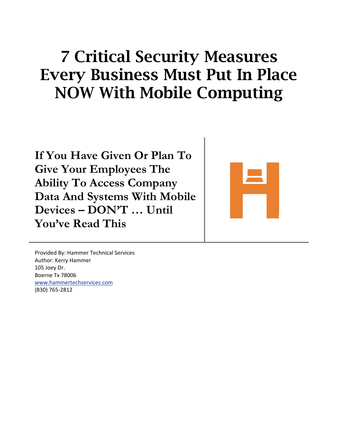## 7 Critical Security Measures Every Business Must Put In Place NOW With Mobile Computing

**If You Have Given Or Plan To Give Your Employees The Ability To Access Company Data And Systems With Mobile Devices – DON'T … Until You've Read This**



Provided By: Hammer Technical Services Author: Kerry Hammer 105 Joey Dr. Boerne Tx 78006 [www.hammertechservices.com](http://www.hammertechservices.com/) (830) 765-2812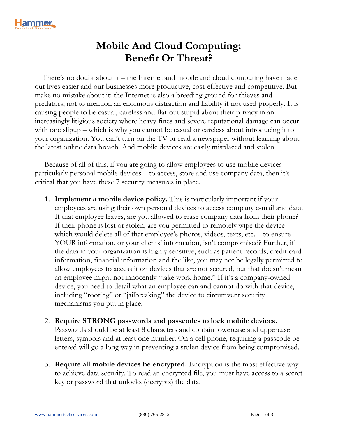

## **Mobile And Cloud Computing: Benefit Or Threat?**

 There's no doubt about it – the Internet and mobile and cloud computing have made our lives easier and our businesses more productive, cost-effective and competitive. But make no mistake about it: the Internet is also a breeding ground for thieves and predators, not to mention an enormous distraction and liability if not used properly. It is causing people to be casual, careless and flat-out stupid about their privacy in an increasingly litigious society where heavy fines and severe reputational damage can occur with one slipup – which is why you cannot be casual or careless about introducing it to your organization. You can't turn on the TV or read a newspaper without learning about the latest online data breach. And mobile devices are easily misplaced and stolen.

 Because of all of this, if you are going to allow employees to use mobile devices – particularly personal mobile devices – to access, store and use company data, then it's critical that you have these 7 security measures in place.

- 1. **Implement a mobile device policy.** This is particularly important if your employees are using their own personal devices to access company e-mail and data. If that employee leaves, are you allowed to erase company data from their phone? If their phone is lost or stolen, are you permitted to remotely wipe the device – which would delete all of that employee's photos, videos, texts, etc. – to ensure YOUR information, or your clients' information, isn't compromised? Further, if the data in your organization is highly sensitive, such as patient records, credit card information, financial information and the like, you may not be legally permitted to allow employees to access it on devices that are not secured, but that doesn't mean an employee might not innocently "take work home." If it's a company-owned device, you need to detail what an employee can and cannot do with that device, including "rooting" or "jailbreaking" the device to circumvent security mechanisms you put in place.
- 2. **Require STRONG passwords and passcodes to lock mobile devices.**  Passwords should be at least 8 characters and contain lowercase and uppercase letters, symbols and at least one number. On a cell phone, requiring a passcode be entered will go a long way in preventing a stolen device from being compromised.
- 3. **Require all mobile devices be encrypted.** Encryption is the most effective way to achieve data security. To read an encrypted file, you must have access to a secret key or password that unlocks (decrypts) the data.